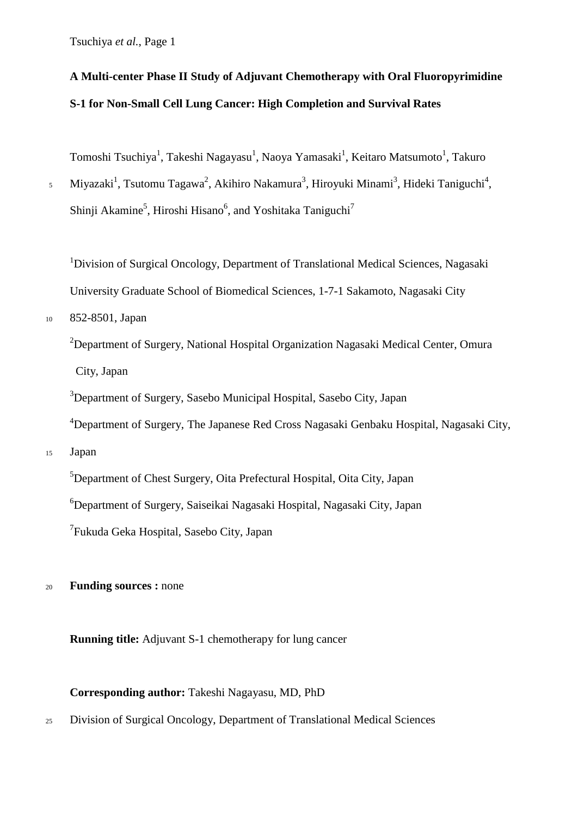# **A Multi-center Phase II Study of Adjuvant Chemotherapy with Oral Fluoropyrimidine S-1 for Non-Small Cell Lung Cancer: High Completion and Survival Rates**

Tomoshi Tsuchiya<sup>1</sup>, Takeshi Nagayasu<sup>1</sup>, Naoya Yamasaki<sup>1</sup>, Keitaro Matsumoto<sup>1</sup>, Takuro

<sup>5</sup> Miyazaki<sup>1</sup>, Tsutomu Tagawa<sup>2</sup>, Akihiro Nakamura<sup>3</sup>, Hiroyuki Minami<sup>3</sup>, Hideki Taniguchi<sup>4</sup>, Shinji Akamine<sup>5</sup>, Hiroshi Hisano<sup>6</sup>, and Yoshitaka Taniguchi<sup>7</sup>

<sup>1</sup>Division of Surgical Oncology, Department of Translational Medical Sciences, Nagasaki University Graduate School of Biomedical Sciences, 1-7-1 Sakamoto, Nagasaki City

### <sup>10</sup> 852-8501, Japan

<sup>2</sup>Department of Surgery, National Hospital Organization Nagasaki Medical Center, Omura City, Japan

<sup>3</sup>Department of Surgery, Sasebo Municipal Hospital, Sasebo City, Japan

<sup>4</sup>Department of Surgery, The Japanese Red Cross Nagasaki Genbaku Hospital, Nagasaki City,

<sup>15</sup> Japan

<sup>5</sup>Department of Chest Surgery, Oita Prefectural Hospital, Oita City, Japan

6 Department of Surgery, Saiseikai Nagasaki Hospital, Nagasaki City, Japan

<sup>7</sup>Fukuda Geka Hospital, Sasebo City, Japan

<sup>20</sup> **Funding sources :** none

**Running title:** Adjuvant S-1 chemotherapy for lung cancer

**Corresponding author:** Takeshi Nagayasu, MD, PhD

<sup>25</sup> Division of Surgical Oncology, Department of Translational Medical Sciences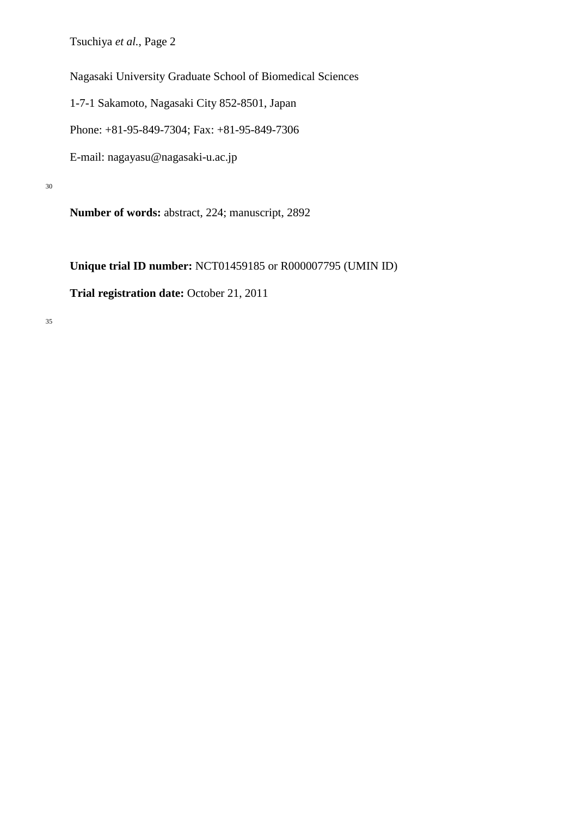Nagasaki University Graduate School of Biomedical Sciences

1-7-1 Sakamoto, Nagasaki City 852-8501, Japan

Phone: +81-95-849-7304; Fax: +81-95-849-7306

E-mail: nagayasu@nagasaki-u.ac.jp

30

**Number of words:** abstract, 224; manuscript, 2892

**Unique trial ID number:** NCT01459185 or R000007795 (UMIN ID)

**Trial registration date:** October 21, 2011

35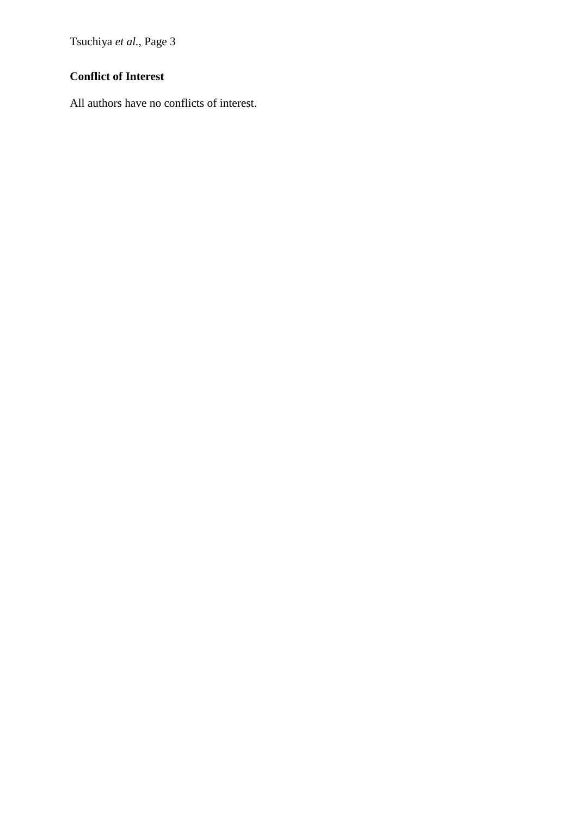## **Conflict of Interest**

All authors have no conflicts of interest.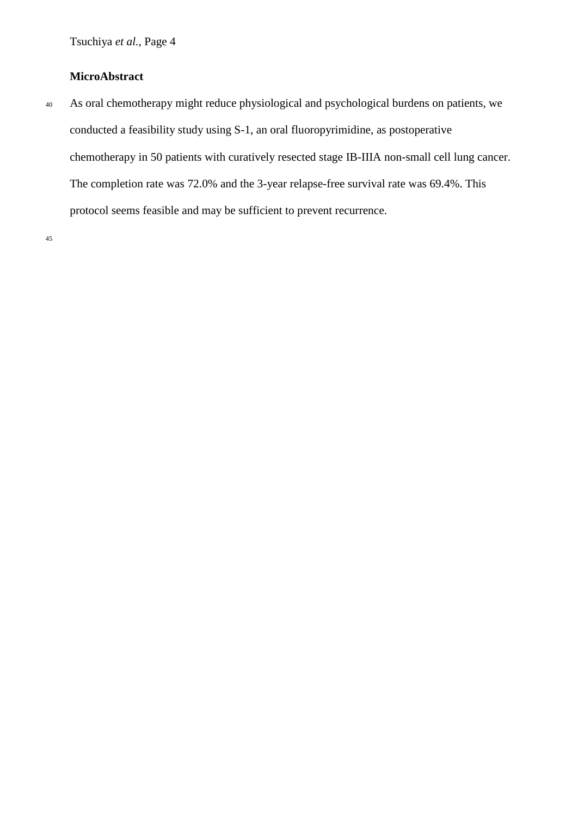## **MicroAbstract**

<sup>40</sup> As oral chemotherapy might reduce physiological and psychological burdens on patients, we conducted a feasibility study using S-1, an oral fluoropyrimidine, as postoperative chemotherapy in 50 patients with curatively resected stage IB-IIIA non-small cell lung cancer. The completion rate was 72.0% and the 3-year relapse-free survival rate was 69.4%. This protocol seems feasible and may be sufficient to prevent recurrence.

45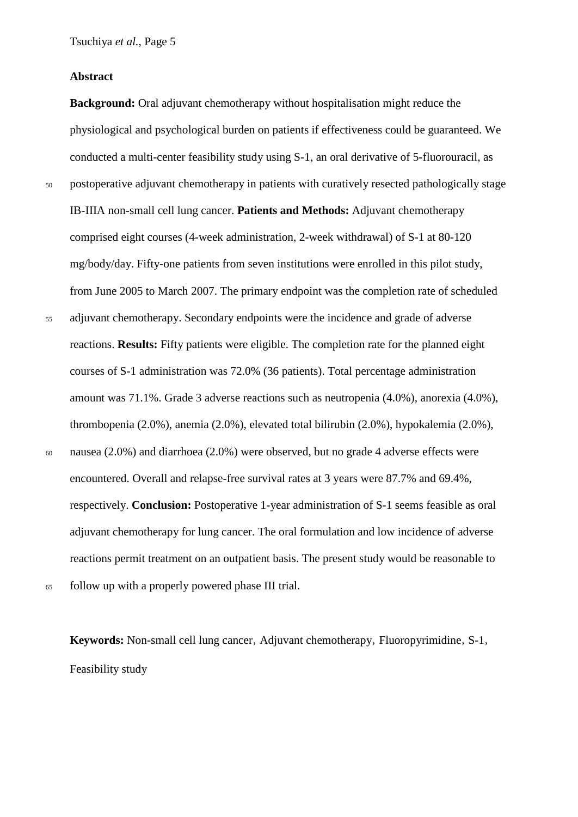#### **Abstract**

**Background:** Oral adjuvant chemotherapy without hospitalisation might reduce the physiological and psychological burden on patients if effectiveness could be guaranteed. We conducted a multi-center feasibility study using S-1, an oral derivative of 5-fluorouracil, as <sup>50</sup> postoperative adjuvant chemotherapy in patients with curatively resected pathologically stage IB-IIIA non-small cell lung cancer. **Patients and Methods:** Adjuvant chemotherapy comprised eight courses (4-week administration, 2-week withdrawal) of S-1 at 80-120 mg/body/day. Fifty-one patients from seven institutions were enrolled in this pilot study, from June 2005 to March 2007. The primary endpoint was the completion rate of scheduled <sup>55</sup> adjuvant chemotherapy. Secondary endpoints were the incidence and grade of adverse reactions. **Results:** Fifty patients were eligible. The completion rate for the planned eight courses of S-1 administration was 72.0% (36 patients). Total percentage administration

amount was 71.1%. Grade 3 adverse reactions such as neutropenia (4.0%), anorexia (4.0%),

thrombopenia (2.0%), anemia (2.0%), elevated total bilirubin (2.0%), hypokalemia (2.0%),

<sup>60</sup> nausea (2.0%) and diarrhoea (2.0%) were observed, but no grade 4 adverse effects were encountered. Overall and relapse-free survival rates at 3 years were 87.7% and 69.4%, respectively. **Conclusion:** Postoperative 1-year administration of S-1 seems feasible as oral adjuvant chemotherapy for lung cancer. The oral formulation and low incidence of adverse reactions permit treatment on an outpatient basis. The present study would be reasonable to <sup>65</sup> follow up with a properly powered phase III trial.

**Keywords:** Non-small cell lung cancer, Adjuvant chemotherapy, Fluoropyrimidine, S-1, Feasibility study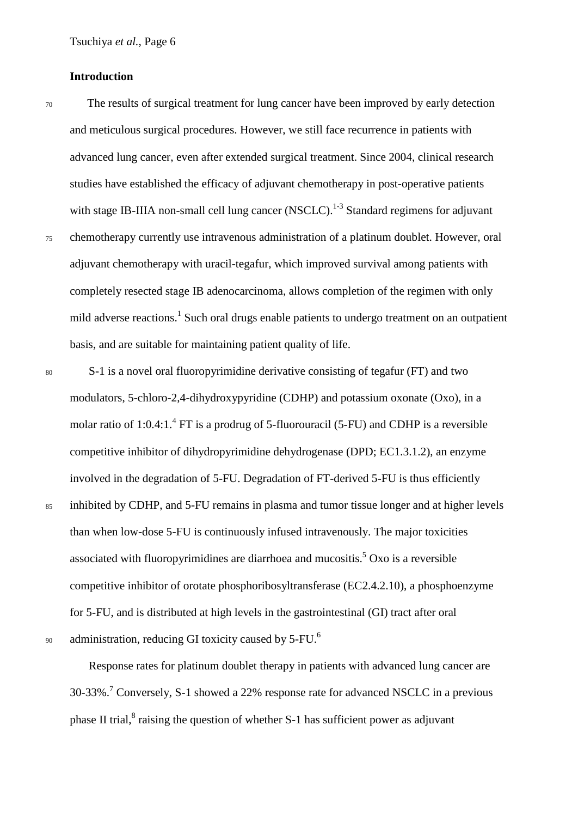#### **Introduction**

- <sup>70</sup> The results of surgical treatment for lung cancer have been improved by early detection and meticulous surgical procedures. However, we still face recurrence in patients with advanced lung cancer, even after extended surgical treatment. Since 2004, clinical research studies have established the efficacy of adjuvant chemotherapy in post-operative patients with stage IB-IIIA non-small cell lung cancer (NSCLC).<sup>1-3</sup> Standard regimens for adjuvant <sup>75</sup> chemotherapy currently use intravenous administration of a platinum doublet. However, oral adjuvant chemotherapy with uracil-tegafur, which improved survival among patients with completely resected stage IB adenocarcinoma, allows completion of the regimen with only mild adverse reactions. <sup>1</sup> Such oral drugs enable patients to undergo treatment on an outpatient basis, and are suitable for maintaining patient quality of life.
- 

<sup>80</sup> S-1 is a novel oral fluoropyrimidine derivative consisting of tegafur (FT) and two modulators, 5-chloro-2,4-dihydroxypyridine (CDHP) and potassium oxonate (Oxo), in a molar ratio of 1:0.4:1.<sup>4</sup> FT is a prodrug of 5-fluorouracil (5-FU) and CDHP is a reversible competitive inhibitor of dihydropyrimidine dehydrogenase (DPD; EC1.3.1.2), an enzyme involved in the degradation of 5-FU. Degradation of FT-derived 5-FU is thus efficiently <sup>85</sup> inhibited by CDHP, and 5-FU remains in plasma and tumor tissue longer and at higher levels than when low-dose 5-FU is continuously infused intravenously. The major toxicities associated with fluoropyrimidines are diarrhoea and mucositis. <sup>5</sup> Oxo is a reversible competitive inhibitor of orotate phosphoribosyltransferase (EC2.4.2.10), a phosphoenzyme for 5-FU, and is distributed at high levels in the gastrointestinal (GI) tract after oral administration, reducing GI toxicity caused by 5-FU.<sup>6</sup>

90

Response rates for platinum doublet therapy in patients with advanced lung cancer are 30-33%.7 Conversely, S-1 showed a 22% response rate for advanced NSCLC in a previous phase II trial,<sup>8</sup> raising the question of whether S-1 has sufficient power as adjuvant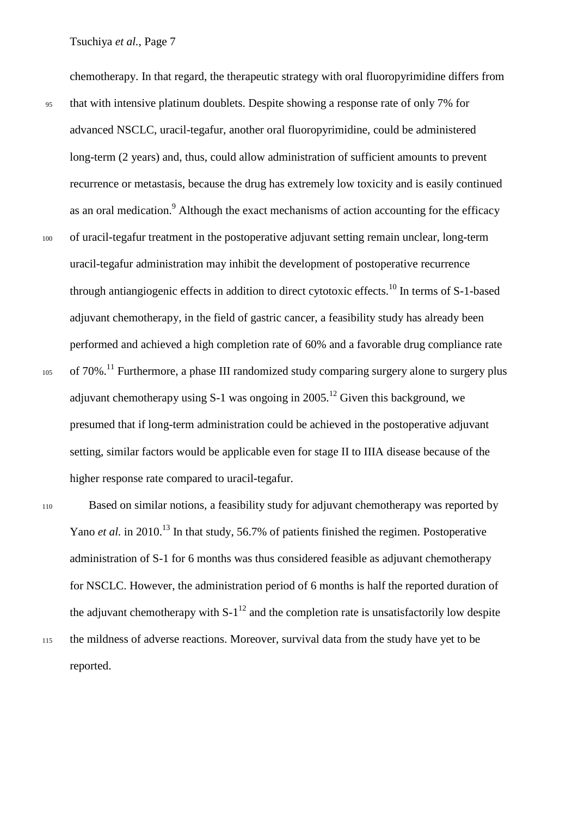<sup>95</sup> that with intensive platinum doublets. Despite showing a response rate of only 7% for advanced NSCLC, uracil-tegafur, another oral fluoropyrimidine, could be administered long-term (2 years) and, thus, could allow administration of sufficient amounts to prevent recurrence or metastasis, because the drug has extremely low toxicity and is easily continued as an oral medication.<sup>9</sup> Although the exact mechanisms of action accounting for the efficacy <sup>100</sup> of uracil-tegafur treatment in the postoperative adjuvant setting remain unclear, long-term uracil-tegafur administration may inhibit the development of postoperative recurrence through antiangiogenic effects in addition to direct cytotoxic effects.<sup>10</sup> In terms of S-1-based adjuvant chemotherapy, in the field of gastric cancer, a feasibility study has already been performed and achieved a high completion rate of 60% and a favorable drug compliance rate  $105$  of 70%.<sup>11</sup> Furthermore, a phase III randomized study comparing surgery alone to surgery plus adjuvant chemotherapy using S-1 was ongoing in  $2005$ .<sup>12</sup> Given this background, we presumed that if long-term administration could be achieved in the postoperative adjuvant setting, similar factors would be applicable even for stage II to IIIA disease because of the higher response rate compared to uracil-tegafur.

chemotherapy. In that regard, the therapeutic strategy with oral fluoropyrimidine differs from

- <sup>110</sup> Based on similar notions, a feasibility study for adjuvant chemotherapy was reported by Yano *et al.* in 2010.<sup>13</sup> In that study, 56.7% of patients finished the regimen. Postoperative administration of S-1 for 6 months was thus considered feasible as adjuvant chemotherapy for NSCLC. However, the administration period of 6 months is half the reported duration of the adjuvant chemotherapy with  $S-1^{12}$  and the completion rate is unsatisfactorily low despite
- <sup>115</sup> the mildness of adverse reactions. Moreover, survival data from the study have yet to be reported.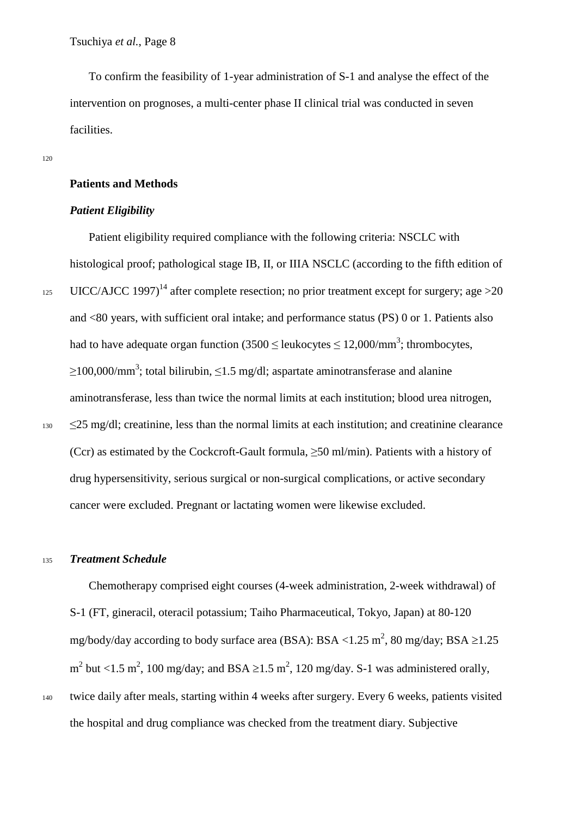To confirm the feasibility of 1-year administration of S-1 and analyse the effect of the intervention on prognoses, a multi-center phase II clinical trial was conducted in seven facilities.

#### **Patients and Methods**

#### *Patient Eligibility*

Patient eligibility required compliance with the following criteria: NSCLC with histological proof; pathological stage IB, II, or IIIA NSCLC (according to the fifth edition of 125 UICC/AJCC 1997)<sup>14</sup> after complete resection; no prior treatment except for surgery; age > 20 and <80 years, with sufficient oral intake; and performance status (PS) 0 or 1. Patients also had to have adequate organ function (3500  $\leq$  leukocytes  $\leq$  12,000/mm<sup>3</sup>; thrombocytes,  $\geq$ 100,000/mm<sup>3</sup>; total bilirubin,  $\leq$ 1.5 mg/dl; aspartate aminotransferase and alanine aminotransferase, less than twice the normal limits at each institution; blood urea nitrogen,  $130 \leq 25 \text{ mg/dl}$ ; creatinine, less than the normal limits at each institution; and creatinine clearance (Ccr) as estimated by the Cockcroft-Gault formula,  $\geq$ 50 ml/min). Patients with a history of drug hypersensitivity, serious surgical or non-surgical complications, or active secondary cancer were excluded. Pregnant or lactating women were likewise excluded.

#### <sup>135</sup> *Treatment Schedule*

Chemotherapy comprised eight courses (4-week administration, 2-week withdrawal) of S-1 (FT, gineracil, oteracil potassium; Taiho Pharmaceutical, Tokyo, Japan) at 80-120 mg/body/day according to body surface area (BSA): BSA <1.25 m<sup>2</sup>, 80 mg/day; BSA  $\geq$ 1.25  $m^2$  but <1.5 m<sup>2</sup>, 100 mg/day; and BSA ≥1.5 m<sup>2</sup>, 120 mg/day. S-1 was administered orally, <sup>140</sup> twice daily after meals, starting within 4 weeks after surgery. Every 6 weeks, patients visited the hospital and drug compliance was checked from the treatment diary. Subjective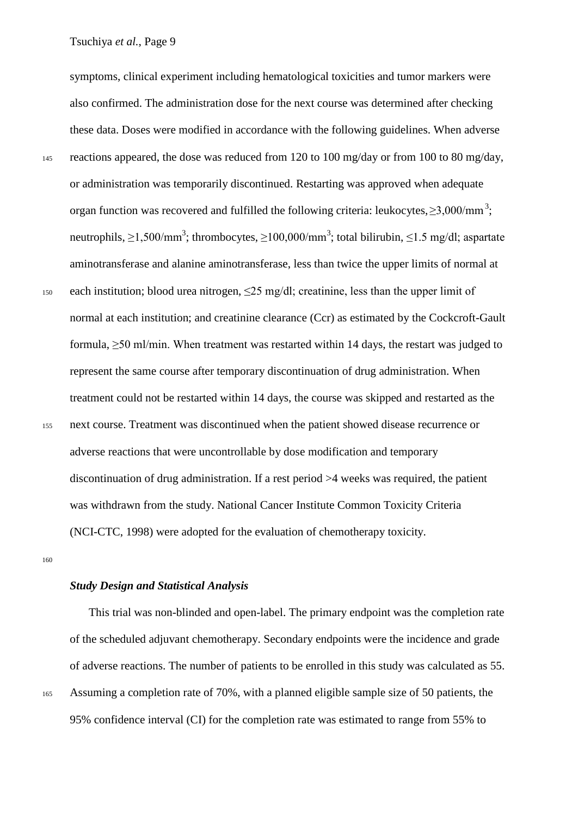symptoms, clinical experiment including hematological toxicities and tumor markers were also confirmed. The administration dose for the next course was determined after checking these data. Doses were modified in accordance with the following guidelines. When adverse <sup>145</sup> reactions appeared, the dose was reduced from 120 to 100 mg/day or from 100 to 80 mg/day, or administration was temporarily discontinued. Restarting was approved when adequate organ function was recovered and fulfilled the following criteria: leukocytes,  $\geq$ 3,000/mm<sup>3</sup>; neutrophils,  $\geq$ 1,500/mm<sup>3</sup>; thrombocytes,  $\geq$ 100,000/mm<sup>3</sup>; total bilirubin,  $\leq$ 1.5 mg/dl; aspartate aminotransferase and alanine aminotransferase, less than twice the upper limits of normal at 150 each institution; blood urea nitrogen,  $\leq$  25 mg/dl; creatinine, less than the upper limit of normal at each institution; and creatinine clearance (Ccr) as estimated by the Cockcroft-Gault formula, ≥50 ml/min. When treatment was restarted within 14 days, the restart was judged to represent the same course after temporary discontinuation of drug administration. When treatment could not be restarted within 14 days, the course was skipped and restarted as the <sup>155</sup> next course. Treatment was discontinued when the patient showed disease recurrence or adverse reactions that were uncontrollable by dose modification and temporary discontinuation of drug administration. If a rest period >4 weeks was required, the patient was withdrawn from the study. National Cancer Institute Common Toxicity Criteria (NCI-CTC, 1998) were adopted for the evaluation of chemotherapy toxicity.

160

#### *Study Design and Statistical Analysis*

This trial was non-blinded and open-label. The primary endpoint was the completion rate of the scheduled adjuvant chemotherapy. Secondary endpoints were the incidence and grade of adverse reactions. The number of patients to be enrolled in this study was calculated as 55. <sup>165</sup> Assuming a completion rate of 70%, with a planned eligible sample size of 50 patients, the 95% confidence interval (CI) for the completion rate was estimated to range from 55% to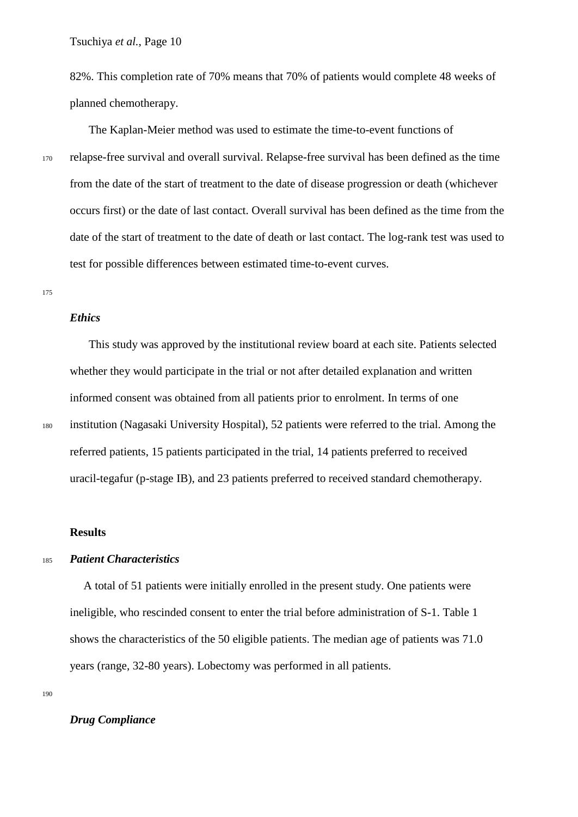82%. This completion rate of 70% means that 70% of patients would complete 48 weeks of planned chemotherapy.

The Kaplan-Meier method was used to estimate the time-to-event functions of <sup>170</sup> relapse-free survival and overall survival. Relapse-free survival has been defined as the time from the date of the start of treatment to the date of disease progression or death (whichever occurs first) or the date of last contact. Overall survival has been defined as the time from the date of the start of treatment to the date of death or last contact. The log-rank test was used to test for possible differences between estimated time-to-event curves.

175

#### *Ethics*

This study was approved by the institutional review board at each site. Patients selected whether they would participate in the trial or not after detailed explanation and written informed consent was obtained from all patients prior to enrolment. In terms of one <sup>180</sup> institution (Nagasaki University Hospital), 52 patients were referred to the trial. Among the referred patients, 15 patients participated in the trial, 14 patients preferred to received uracil-tegafur (p-stage IB), and 23 patients preferred to received standard chemotherapy.

#### **Results**

### <sup>185</sup> *Patient Characteristics*

A total of 51 patients were initially enrolled in the present study. One patients were ineligible, who rescinded consent to enter the trial before administration of S-1. Table 1 shows the characteristics of the 50 eligible patients. The median age of patients was 71.0 years (range, 32-80 years). Lobectomy was performed in all patients.

190

#### *Drug Compliance*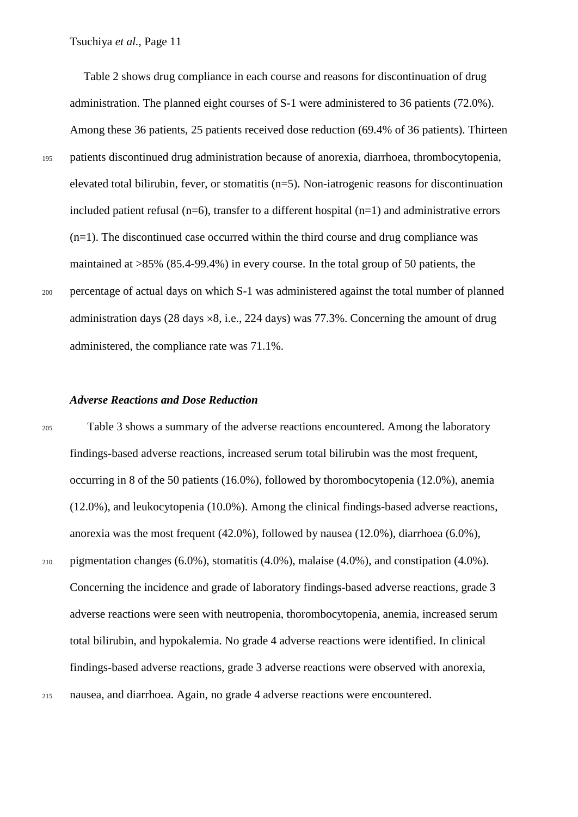Table 2 shows drug compliance in each course and reasons for discontinuation of drug administration. The planned eight courses of S-1 were administered to 36 patients (72.0%). Among these 36 patients, 25 patients received dose reduction (69.4% of 36 patients). Thirteen <sup>195</sup> patients discontinued drug administration because of anorexia, diarrhoea, thrombocytopenia, elevated total bilirubin, fever, or stomatitis (n=5). Non-iatrogenic reasons for discontinuation included patient refusal  $(n=6)$ , transfer to a different hospital  $(n=1)$  and administrative errors (n=1). The discontinued case occurred within the third course and drug compliance was maintained at >85% (85.4-99.4%) in every course. In the total group of 50 patients, the <sup>200</sup> percentage of actual days on which S-1 was administered against the total number of planned administration days  $(28 \text{ days} \times 8, i.e., 224 \text{ days})$  was  $77.3\%$ . Concerning the amount of drug administered, the compliance rate was 71.1%.

#### *Adverse Reactions and Dose Reduction*

<sup>205</sup> Table 3 shows a summary of the adverse reactions encountered. Among the laboratory findings-based adverse reactions, increased serum total bilirubin was the most frequent, occurring in 8 of the 50 patients (16.0%), followed by thorombocytopenia (12.0%), anemia (12.0%), and leukocytopenia (10.0%). Among the clinical findings-based adverse reactions, anorexia was the most frequent (42.0%), followed by nausea (12.0%), diarrhoea (6.0%),  $_{210}$  pigmentation changes (6.0%), stomatitis (4.0%), malaise (4.0%), and constipation (4.0%). Concerning the incidence and grade of laboratory findings-based adverse reactions, grade 3 adverse reactions were seen with neutropenia, thorombocytopenia, anemia, increased serum total bilirubin, and hypokalemia. No grade 4 adverse reactions were identified. In clinical findings-based adverse reactions, grade 3 adverse reactions were observed with anorexia, <sup>215</sup> nausea, and diarrhoea. Again, no grade 4 adverse reactions were encountered.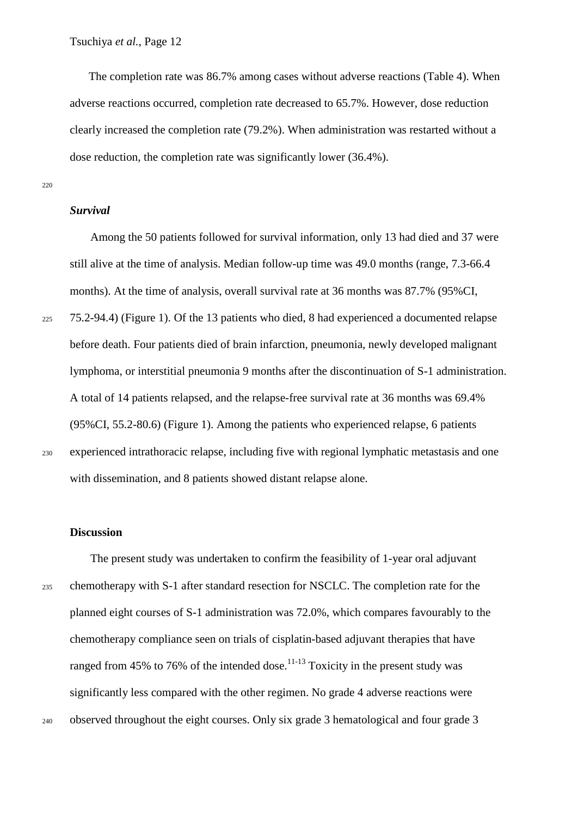The completion rate was 86.7% among cases without adverse reactions (Table 4). When adverse reactions occurred, completion rate decreased to 65.7%. However, dose reduction clearly increased the completion rate (79.2%). When administration was restarted without a dose reduction, the completion rate was significantly lower (36.4%).

220

#### *Survival*

Among the 50 patients followed for survival information, only 13 had died and 37 were still alive at the time of analysis. Median follow-up time was 49.0 months (range, 7.3-66.4 months). At the time of analysis, overall survival rate at 36 months was 87.7% (95%CI, <sup>225</sup> 75.2-94.4) (Figure 1). Of the 13 patients who died, 8 had experienced a documented relapse before death. Four patients died of brain infarction, pneumonia, newly developed malignant lymphoma, or interstitial pneumonia 9 months after the discontinuation of S-1 administration. A total of 14 patients relapsed, and the relapse-free survival rate at 36 months was 69.4% (95%CI, 55.2-80.6) (Figure 1). Among the patients who experienced relapse, 6 patients <sup>230</sup> experienced intrathoracic relapse, including five with regional lymphatic metastasis and one

#### **Discussion**

The present study was undertaken to confirm the feasibility of 1-year oral adjuvant <sup>235</sup> chemotherapy with S-1 after standard resection for NSCLC. The completion rate for the planned eight courses of S-1 administration was 72.0%, which compares favourably to the chemotherapy compliance seen on trials of cisplatin-based adjuvant therapies that have ranged from 45% to 76% of the intended dose.<sup>11-13</sup> Toxicity in the present study was significantly less compared with the other regimen. No grade 4 adverse reactions were <sup>240</sup> observed throughout the eight courses. Only six grade 3 hematological and four grade 3

with dissemination, and 8 patients showed distant relapse alone.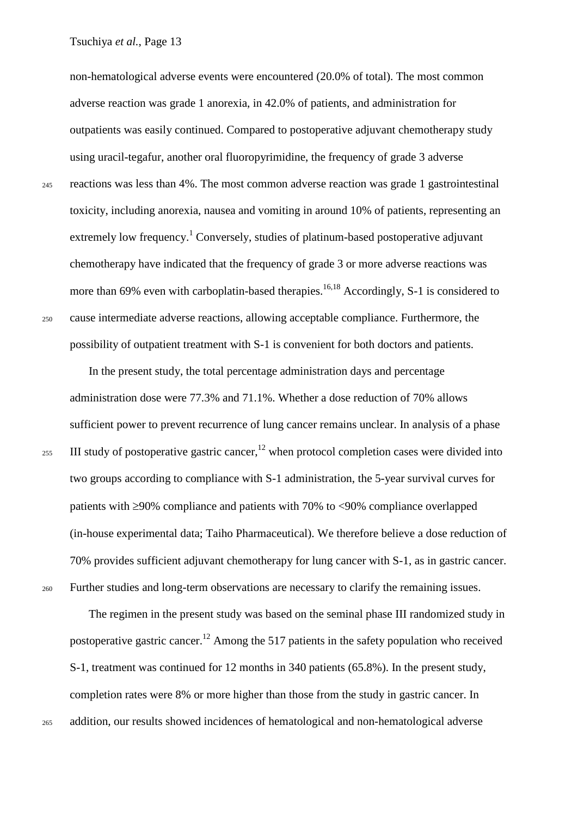non-hematological adverse events were encountered (20.0% of total). The most common adverse reaction was grade 1 anorexia, in 42.0% of patients, and administration for outpatients was easily continued. Compared to postoperative adjuvant chemotherapy study using uracil-tegafur, another oral fluoropyrimidine, the frequency of grade 3 adverse <sup>245</sup> reactions was less than 4%. The most common adverse reaction was grade 1 gastrointestinal toxicity, including anorexia, nausea and vomiting in around 10% of patients, representing an extremely low frequency.<sup>1</sup> Conversely, studies of platinum-based postoperative adjuvant chemotherapy have indicated that the frequency of grade 3 or more adverse reactions was more than 69% even with carboplatin-based therapies.<sup>16,18</sup> Accordingly, S-1 is considered to <sup>250</sup> cause intermediate adverse reactions, allowing acceptable compliance. Furthermore, the possibility of outpatient treatment with S-1 is convenient for both doctors and patients.

In the present study, the total percentage administration days and percentage administration dose were 77.3% and 71.1%. Whether a dose reduction of 70% allows sufficient power to prevent recurrence of lung cancer remains unclear. In analysis of a phase 255 III study of postoperative gastric cancer,<sup>12</sup> when protocol completion cases were divided into two groups according to compliance with S-1 administration, the 5-year survival curves for patients with ≥90% compliance and patients with 70% to <90% compliance overlapped (in-house experimental data; Taiho Pharmaceutical). We therefore believe a dose reduction of 70% provides sufficient adjuvant chemotherapy for lung cancer with S-1, as in gastric cancer. <sup>260</sup> Further studies and long-term observations are necessary to clarify the remaining issues.

The regimen in the present study was based on the seminal phase III randomized study in postoperative gastric cancer.<sup>12</sup> Among the 517 patients in the safety population who received S-1, treatment was continued for 12 months in 340 patients (65.8%). In the present study, completion rates were 8% or more higher than those from the study in gastric cancer. In <sup>265</sup> addition, our results showed incidences of hematological and non-hematological adverse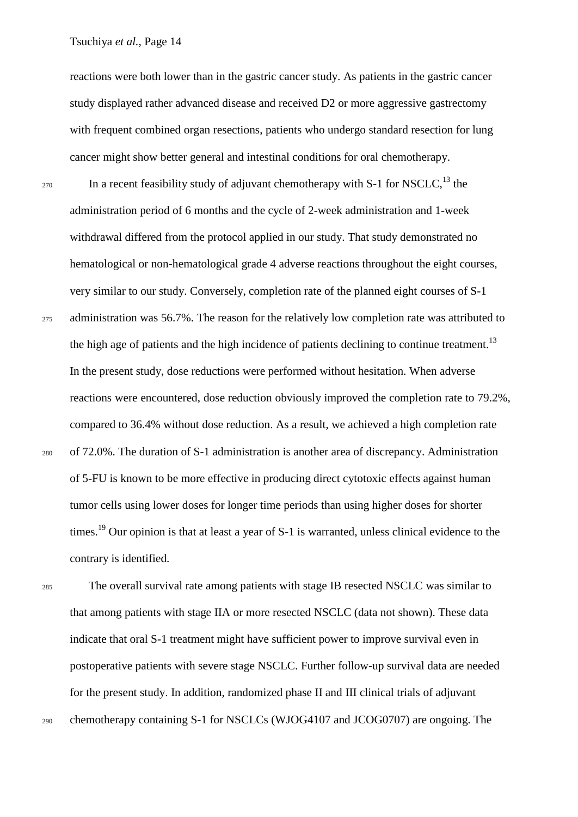reactions were both lower than in the gastric cancer study. As patients in the gastric cancer study displayed rather advanced disease and received D2 or more aggressive gastrectomy with frequent combined organ resections, patients who undergo standard resection for lung cancer might show better general and intestinal conditions for oral chemotherapy.

270 In a recent feasibility study of adjuvant chemotherapy with S-1 for NSCLC,<sup>13</sup> the administration period of 6 months and the cycle of 2-week administration and 1-week withdrawal differed from the protocol applied in our study. That study demonstrated no hematological or non-hematological grade 4 adverse reactions throughout the eight courses, very similar to our study. Conversely, completion rate of the planned eight courses of S-1 275 administration was 56.7%. The reason for the relatively low completion rate was attributed to the high age of patients and the high incidence of patients declining to continue treatment.<sup>13</sup> In the present study, dose reductions were performed without hesitation. When adverse reactions were encountered, dose reduction obviously improved the completion rate to 79.2%, compared to 36.4% without dose reduction. As a result, we achieved a high completion rate <sup>280</sup> of 72.0%. The duration of S-1 administration is another area of discrepancy. Administration of 5-FU is known to be more effective in producing direct cytotoxic effects against human tumor cells using lower doses for longer time periods than using higher doses for shorter times.<sup>19</sup> Our opinion is that at least a year of S-1 is warranted, unless clinical evidence to the contrary is identified.

<sup>285</sup> The overall survival rate among patients with stage IB resected NSCLC was similar to that among patients with stage IIA or more resected NSCLC (data not shown). These data indicate that oral S-1 treatment might have sufficient power to improve survival even in postoperative patients with severe stage NSCLC. Further follow-up survival data are needed for the present study. In addition, randomized phase II and III clinical trials of adjuvant <sup>290</sup> chemotherapy containing S-1 for NSCLCs (WJOG4107 and JCOG0707) are ongoing. The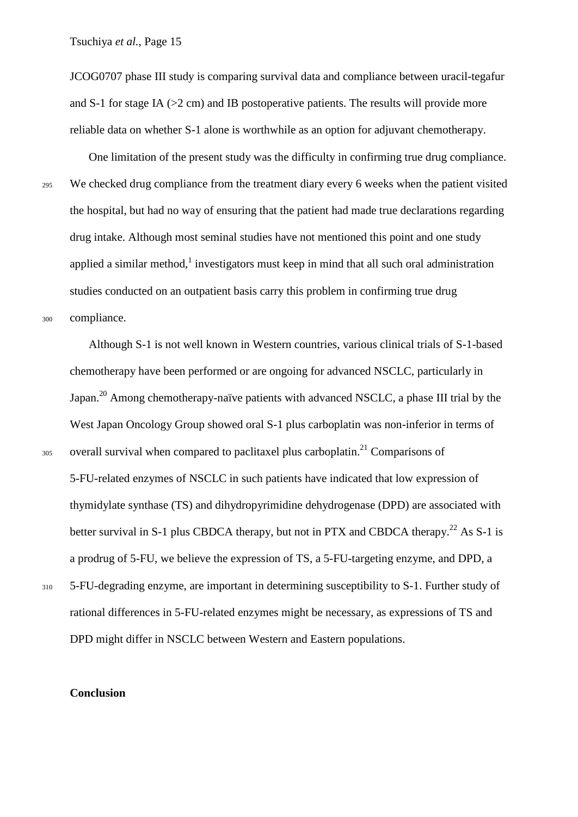JCOG0707 phase III study is comparing survival data and compliance between uracil-tegafur and S-1 for stage IA ( $>2$  cm) and IB postoperative patients. The results will provide more reliable data on whether S-1 alone is worthwhile as an option for adjuvant chemotherapy.

One limitation of the present study was the difficulty in confirming true drug compliance. <sup>295</sup> We checked drug compliance from the treatment diary every 6 weeks when the patient visited the hospital, but had no way of ensuring that the patient had made true declarations regarding drug intake. Although most seminal studies have not mentioned this point and one study applied a similar method, $\frac{1}{1}$  investigators must keep in mind that all such oral administration studies conducted on an outpatient basis carry this problem in confirming true drug <sup>300</sup> compliance.

Although S-1 is not well known in Western countries, various clinical trials of S-1-based chemotherapy have been performed or are ongoing for advanced NSCLC, particularly in Japan.20 Among chemotherapy-naïve patients with advanced NSCLC, a phase III trial by the West Japan Oncology Group showed oral S-1 plus carboplatin was non-inferior in terms of  $305$  overall survival when compared to paclitaxel plus carboplatin.<sup>21</sup> Comparisons of 5-FU-related enzymes of NSCLC in such patients have indicated that low expression of thymidylate synthase (TS) and dihydropyrimidine dehydrogenase (DPD) are associated with better survival in S-1 plus CBDCA therapy, but not in PTX and CBDCA therapy.<sup>22</sup> As S-1 is a prodrug of 5-FU, we believe the expression of TS, a 5-FU-targeting enzyme, and DPD, a

<sup>310</sup> 5-FU-degrading enzyme, are important in determining susceptibility to S-1. Further study of rational differences in 5-FU-related enzymes might be necessary, as expressions of TS and DPD might differ in NSCLC between Western and Eastern populations.

#### **Conclusion**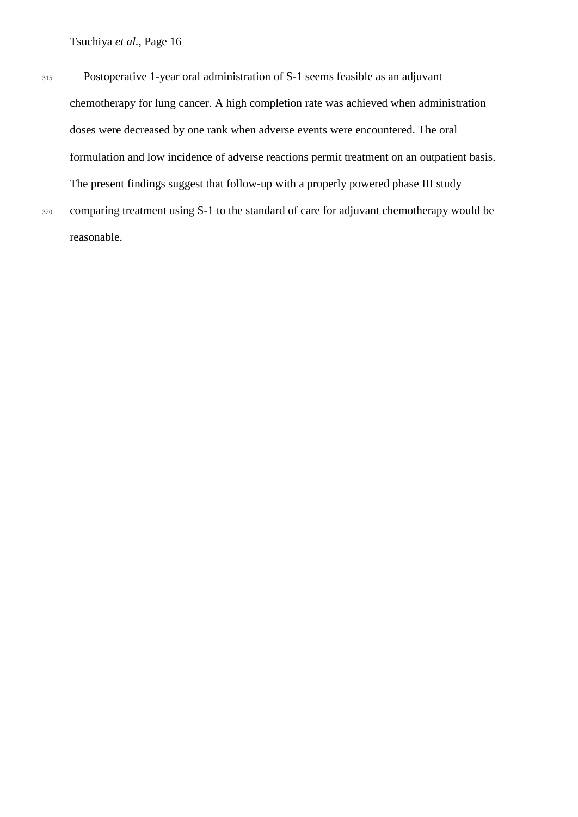<sup>315</sup> Postoperative 1-year oral administration of S-1 seems feasible as an adjuvant chemotherapy for lung cancer. A high completion rate was achieved when administration doses were decreased by one rank when adverse events were encountered. The oral formulation and low incidence of adverse reactions permit treatment on an outpatient basis. The present findings suggest that follow-up with a properly powered phase III study <sup>320</sup> comparing treatment using S-1 to the standard of care for adjuvant chemotherapy would be reasonable.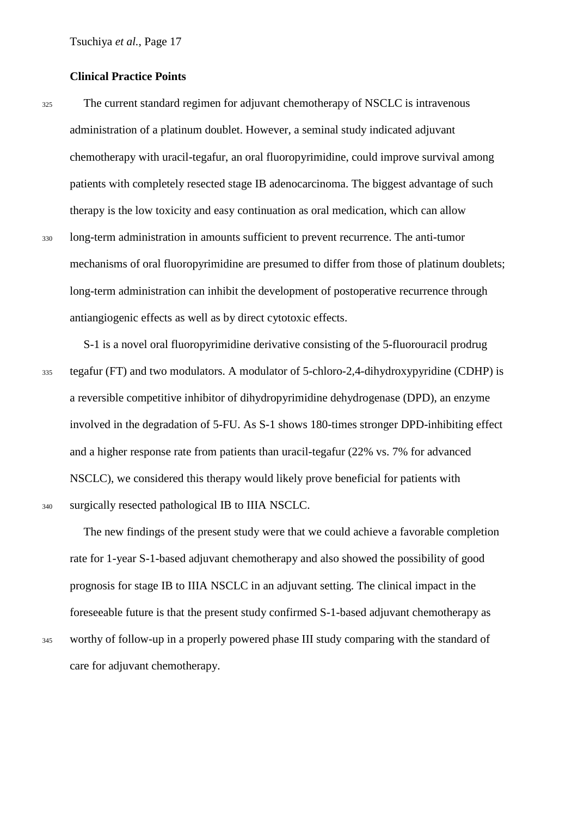#### **Clinical Practice Points**

<sup>325</sup> The current standard regimen for adjuvant chemotherapy of NSCLC is intravenous administration of a platinum doublet. However, a seminal study indicated adjuvant chemotherapy with uracil-tegafur, an oral fluoropyrimidine, could improve survival among patients with completely resected stage IB adenocarcinoma. The biggest advantage of such therapy is the low toxicity and easy continuation as oral medication, which can allow <sup>330</sup> long-term administration in amounts sufficient to prevent recurrence. The anti-tumor mechanisms of oral fluoropyrimidine are presumed to differ from those of platinum doublets; long-term administration can inhibit the development of postoperative recurrence through antiangiogenic effects as well as by direct cytotoxic effects.

S-1 is a novel oral fluoropyrimidine derivative consisting of the 5-fluorouracil prodrug <sup>335</sup> tegafur (FT) and two modulators. A modulator of 5-chloro-2,4-dihydroxypyridine (CDHP) is a reversible competitive inhibitor of dihydropyrimidine dehydrogenase (DPD), an enzyme involved in the degradation of 5-FU. As S-1 shows 180-times stronger DPD-inhibiting effect and a higher response rate from patients than uracil-tegafur (22% vs. 7% for advanced NSCLC), we considered this therapy would likely prove beneficial for patients with <sup>340</sup> surgically resected pathological IB to IIIA NSCLC.

The new findings of the present study were that we could achieve a favorable completion rate for 1-year S-1-based adjuvant chemotherapy and also showed the possibility of good prognosis for stage IB to IIIA NSCLC in an adjuvant setting. The clinical impact in the foreseeable future is that the present study confirmed S-1-based adjuvant chemotherapy as <sup>345</sup> worthy of follow-up in a properly powered phase III study comparing with the standard of care for adjuvant chemotherapy.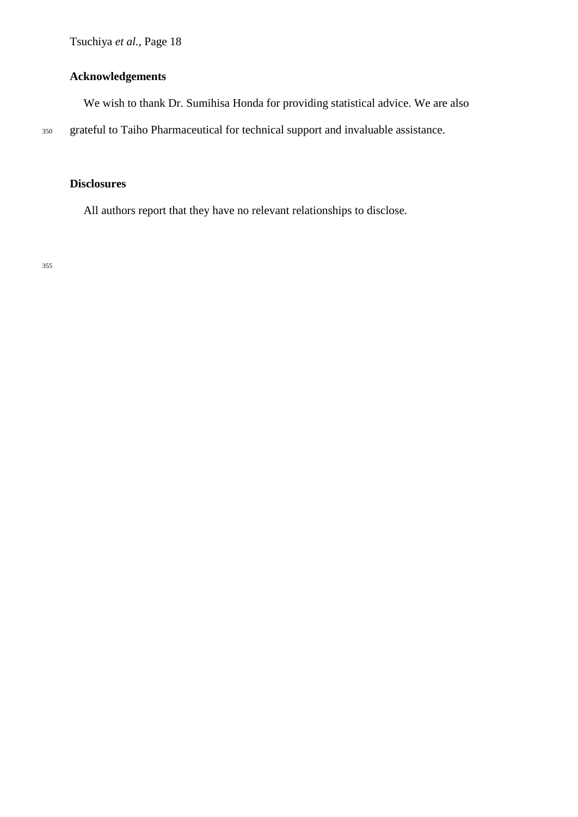#### **Acknowledgements**

We wish to thank Dr. Sumihisa Honda for providing statistical advice. We are also

<sup>350</sup> grateful to Taiho Pharmaceutical for technical support and invaluable assistance.

## **Disclosures**

All authors report that they have no relevant relationships to disclose.

355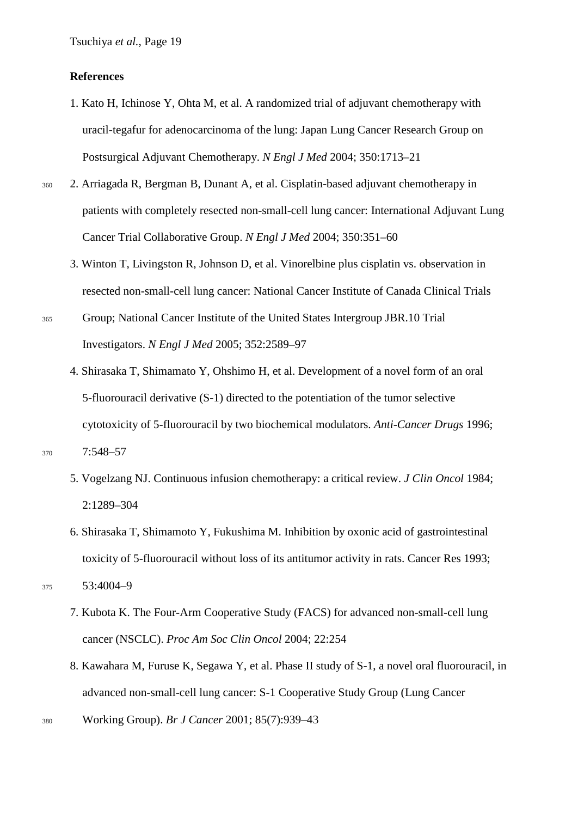#### **References**

- 1. Kato H, Ichinose Y, Ohta M, et al. A randomized trial of adjuvant chemotherapy with uracil-tegafur for adenocarcinoma of the lung: Japan Lung Cancer Research Group on Postsurgical Adjuvant Chemotherapy. *N Engl J Med* 2004; 350:1713–21
- <sup>360</sup> 2. Arriagada R, Bergman B, Dunant A, et al. Cisplatin-based adjuvant chemotherapy in patients with completely resected non-small-cell lung cancer: International Adjuvant Lung Cancer Trial Collaborative Group. *N Engl J Med* 2004; 350:351–60
	- 3. Winton T, Livingston R, Johnson D, et al. Vinorelbine plus cisplatin vs. observation in resected non-small-cell lung cancer: National Cancer Institute of Canada Clinical Trials
- <sup>365</sup> Group; National Cancer Institute of the United States Intergroup JBR.10 Trial Investigators. *N Engl J Med* 2005; 352:2589–97
	- 4. Shirasaka T, Shimamato Y, Ohshimo H, et al. Development of a novel form of an oral 5-fluorouracil derivative (S-1) directed to the potentiation of the tumor selective cytotoxicity of 5-fluorouracil by two biochemical modulators. *Anti-Cancer Drugs* 1996;

<sup>370</sup> 7:548–57

- 5. Vogelzang NJ. Continuous infusion chemotherapy: a critical review. *J Clin Oncol* 1984; 2:1289–304
- 6. Shirasaka T, Shimamoto Y, Fukushima M. Inhibition by oxonic acid of gastrointestinal toxicity of 5-fluorouracil without loss of its antitumor activity in rats. Cancer Res 1993;

<sup>375</sup> 53:4004–9

- 7. Kubota K. The Four-Arm Cooperative Study (FACS) for advanced non-small-cell lung cancer (NSCLC). *Proc Am Soc Clin Oncol* 2004; 22:254
- 8. Kawahara M, Furuse K, Segawa Y, et al. Phase II study of S-1, a novel oral fluorouracil, in advanced non-small-cell lung cancer: S-1 Cooperative Study Group (Lung Cancer
- <sup>380</sup> Working Group). *Br J Cancer* 2001; 85(7):939–43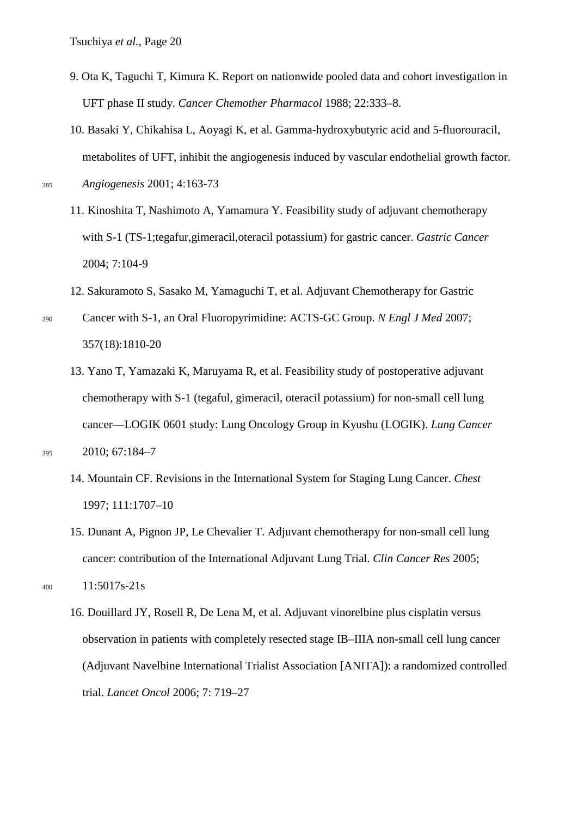- 9. Ota K, Taguchi T, Kimura K. Report on nationwide pooled data and cohort investigation in UFT phase II study. *Cancer Chemother Pharmacol* 1988; 22:333–8.
- 10. Basaki Y, Chikahisa L, Aoyagi K, et al. Gamma-hydroxybutyric acid and 5-fluorouracil, metabolites of UFT, inhibit the angiogenesis induced by vascular endothelial growth factor. <sup>385</sup> *Angiogenesis* 2001; 4:163-73

- 11. Kinoshita T, Nashimoto A, Yamamura Y. Feasibility study of adjuvant chemotherapy with S-1 (TS-1;tegafur,gimeracil,oteracil potassium) for gastric cancer. *Gastric Cancer*  2004; 7:104-9
- 12. Sakuramoto S, Sasako M, Yamaguchi T, et al. Adjuvant Chemotherapy for Gastric
- <sup>390</sup> Cancer with S-1, an Oral Fluoropyrimidine: ACTS-GC Group. *N Engl J Med* 2007; 357(18):1810-20
- 13. Yano T, Yamazaki K, Maruyama R, et al. Feasibility study of postoperative adjuvant chemotherapy with S-1 (tegaful, gimeracil, oteracil potassium) for non-small cell lung cancer—LOGIK 0601 study: Lung Oncology Group in Kyushu (LOGIK). *Lung Cancer* <sup>395</sup> 2010; 67:184–7

- 14. Mountain CF. Revisions in the International System for Staging Lung Cancer. *Chest* 1997; 111:1707–10
- 15. Dunant A, Pignon JP, Le Chevalier T. Adjuvant chemotherapy for non-small cell lung cancer: contribution of the International Adjuvant Lung Trial. *Clin Cancer Res* 2005;

```
400 11:5017s-21s
```
16. Douillard JY, Rosell R, De Lena M, et al. Adjuvant vinorelbine plus cisplatin versus observation in patients with completely resected stage IB–IIIA non-small cell lung cancer (Adjuvant Navelbine International Trialist Association [ANITA]): a randomized controlled trial. *Lancet Oncol* 2006; 7: 719–27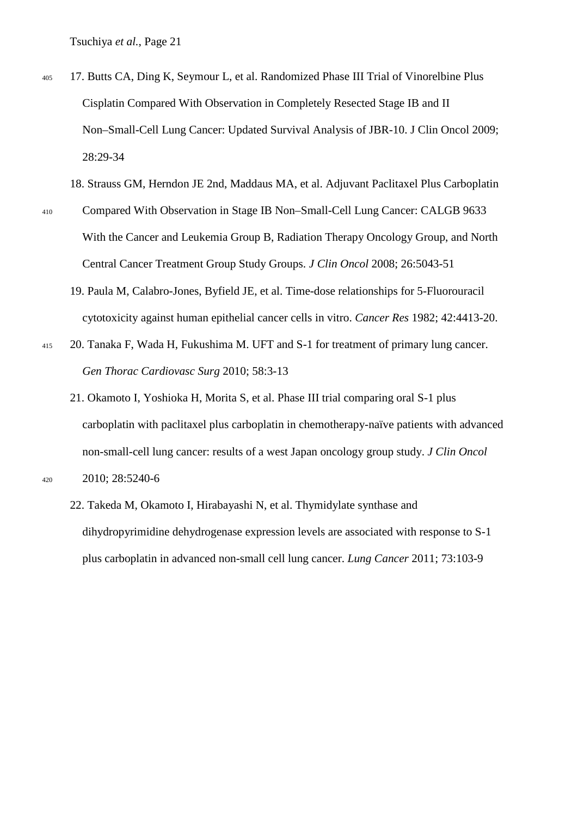- <sup>405</sup> 17. Butts CA, Ding K, Seymour L, et al. Randomized Phase III Trial of Vinorelbine Plus Cisplatin Compared With Observation in Completely Resected Stage IB and II Non–Small-Cell Lung Cancer: Updated Survival Analysis of JBR-10. J Clin Oncol 2009; 28:29-34
	- 18. Strauss GM, Herndon JE 2nd, Maddaus MA, et al. Adjuvant Paclitaxel Plus Carboplatin
- <sup>410</sup> Compared With Observation in Stage IB Non–Small-Cell Lung Cancer: CALGB 9633 With the Cancer and Leukemia Group B, Radiation Therapy Oncology Group, and North Central Cancer Treatment Group Study Groups. *J Clin Oncol* 2008; 26:5043-51
	- 19. Paula M, Calabro-Jones, Byfield JE, et al. Time-dose relationships for 5-Fluorouracil cytotoxicity against human epithelial cancer cells in vitro. *Cancer Res* 1982; 42:4413-20.
- <sup>415</sup> 20. Tanaka F, Wada H, Fukushima M. UFT and S-1 for treatment of primary lung cancer. *Gen Thorac Cardiovasc Surg* 2010; 58:3-13
	- 21. Okamoto I, Yoshioka H, Morita S, et al. Phase III trial comparing oral S-1 plus carboplatin with paclitaxel plus carboplatin in chemotherapy-naïve patients with advanced non-small-cell lung cancer: results of a west Japan oncology group study. *J Clin Oncol*
- <sup>420</sup> 2010; 28:5240-6
	- 22. Takeda M, Okamoto I, Hirabayashi N, et al. Thymidylate synthase and dihydropyrimidine dehydrogenase expression levels are associated with response to S-1 plus carboplatin in advanced non-small cell lung cancer. *Lung Cancer* 2011; 73:103-9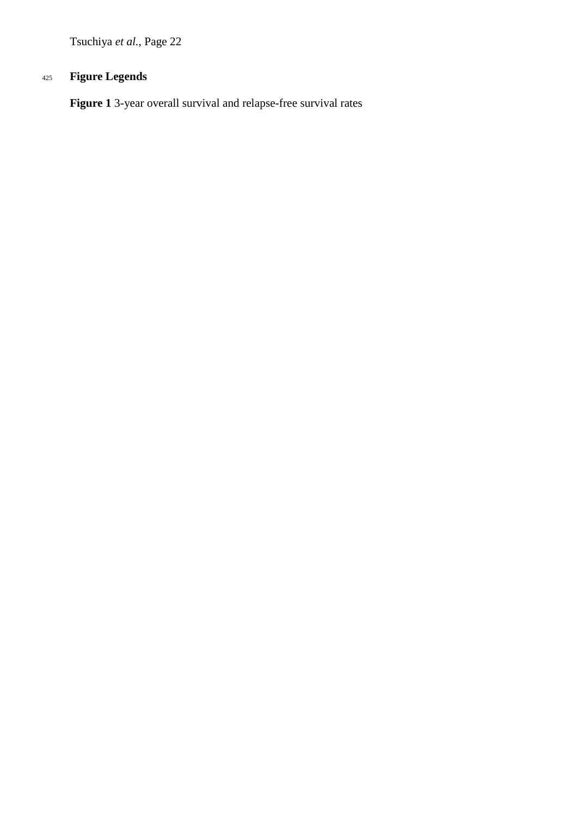## <sup>425</sup> **Figure Legends**

**Figure 1** 3-year overall survival and relapse-free survival rates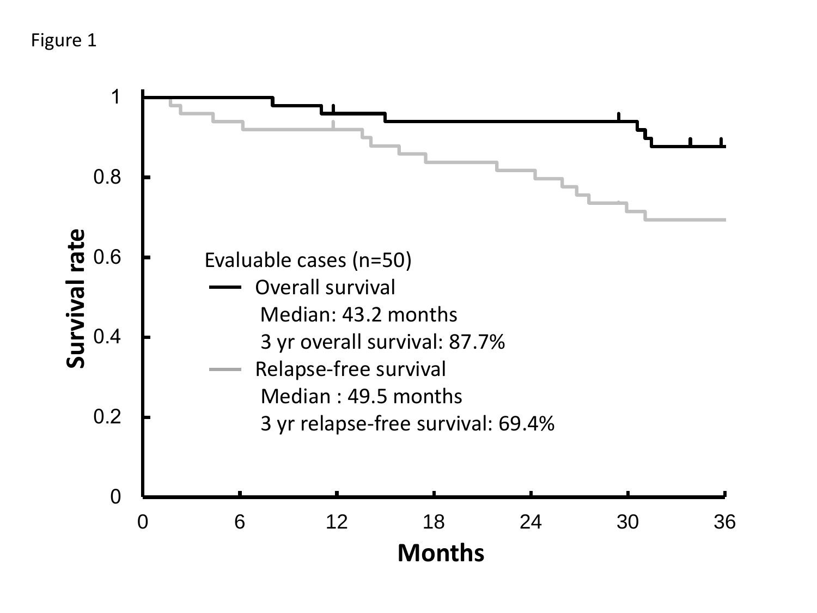# Figure 1

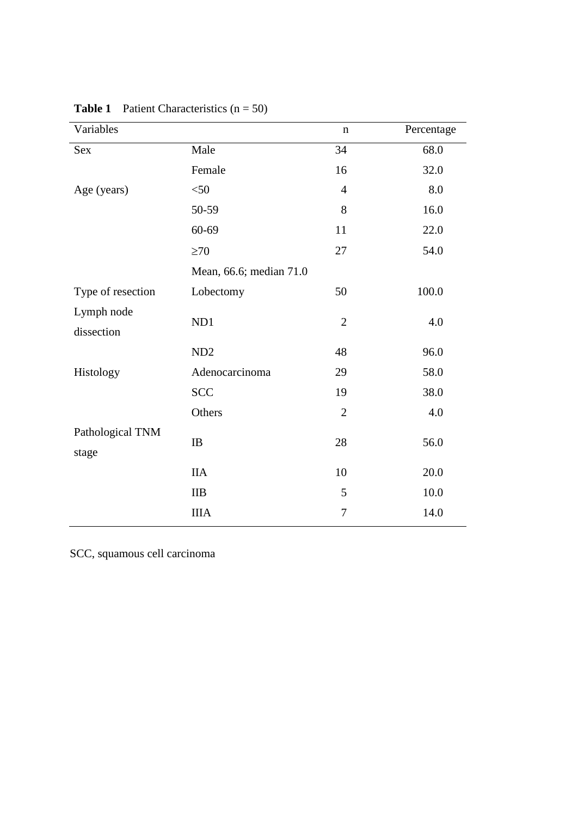| Variables                 |                         | $\mathbf n$    | Percentage |
|---------------------------|-------------------------|----------------|------------|
| Sex                       | Male                    | 34             | 68.0       |
|                           | Female                  | 16             | 32.0       |
| Age (years)               | $<$ 50                  | $\overline{4}$ | 8.0        |
|                           | 50-59                   | 8              | 16.0       |
|                           | $60 - 69$               | 11             | 22.0       |
|                           | $\geq 70$               | 27             | 54.0       |
|                           | Mean, 66.6; median 71.0 |                |            |
| Type of resection         | Lobectomy               | 50             | 100.0      |
| Lymph node<br>dissection  | ND1                     | $\overline{2}$ | 4.0        |
|                           | ND <sub>2</sub>         | 48             | 96.0       |
| Histology                 | Adenocarcinoma          | 29             | 58.0       |
|                           | <b>SCC</b>              | 19             | 38.0       |
|                           | Others                  | $\mathbf{2}$   | 4.0        |
| Pathological TNM<br>stage | IB                      | 28             | 56.0       |
|                           | <b>IIA</b>              | 10             | 20.0       |
|                           | IIB                     | 5              | 10.0       |
|                           | <b>IIIA</b>             | 7              | 14.0       |

**Table 1** Patient Characteristics (n = 50)

SCC, squamous cell carcinoma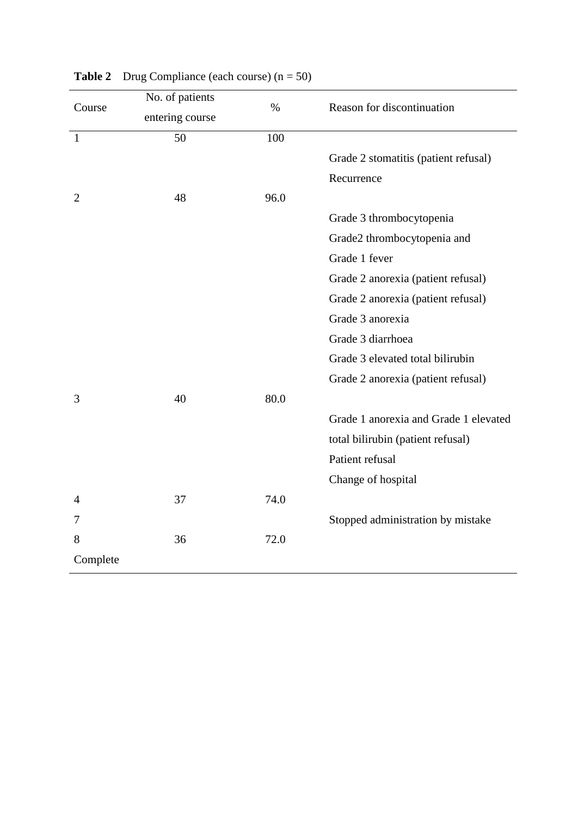|                | No. of patients | $\%$ | Reason for discontinuation            |
|----------------|-----------------|------|---------------------------------------|
| Course         | entering course |      |                                       |
| $\mathbf{1}$   | 50              | 100  |                                       |
|                |                 |      | Grade 2 stomatitis (patient refusal)  |
|                |                 |      | Recurrence                            |
| $\overline{2}$ | 48              | 96.0 |                                       |
|                |                 |      | Grade 3 thrombocytopenia              |
|                |                 |      | Grade2 thrombocytopenia and           |
|                |                 |      | Grade 1 fever                         |
|                |                 |      | Grade 2 anorexia (patient refusal)    |
|                |                 |      | Grade 2 anorexia (patient refusal)    |
|                |                 |      | Grade 3 anorexia                      |
|                |                 |      | Grade 3 diarrhoea                     |
|                |                 |      | Grade 3 elevated total bilirubin      |
|                |                 |      | Grade 2 anorexia (patient refusal)    |
| 3              | 40              | 80.0 |                                       |
|                |                 |      | Grade 1 anorexia and Grade 1 elevated |
|                |                 |      | total bilirubin (patient refusal)     |
|                |                 |      | Patient refusal                       |
|                |                 |      | Change of hospital                    |
| 4              | 37              | 74.0 |                                       |
| 7              |                 |      | Stopped administration by mistake     |
| 8              | 36              | 72.0 |                                       |
| Complete       |                 |      |                                       |

# **Table 2** Drug Compliance (each course)  $(n = 50)$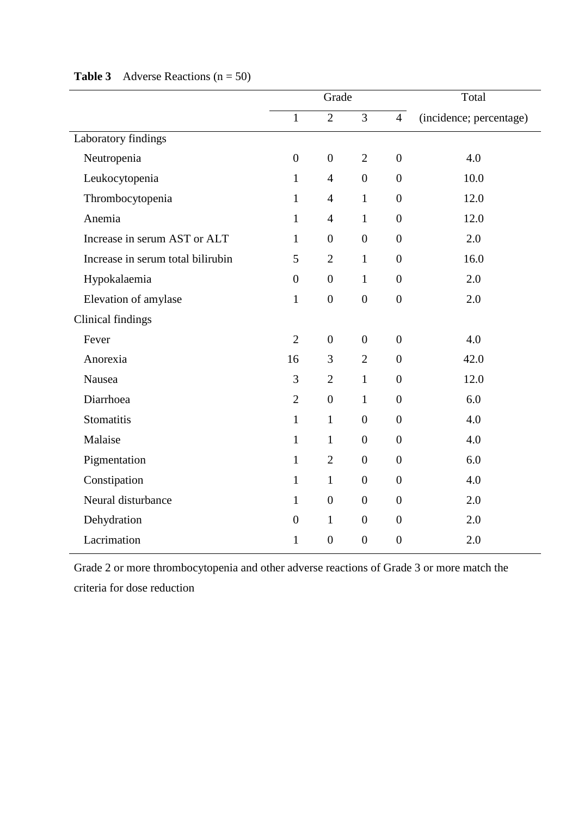|                                   |                  | Grade            |                  |                  | Total                   |
|-----------------------------------|------------------|------------------|------------------|------------------|-------------------------|
|                                   | $\mathbf{1}$     | $\overline{2}$   | $\overline{3}$   | $\overline{4}$   | (incidence; percentage) |
| Laboratory findings               |                  |                  |                  |                  |                         |
| Neutropenia                       | $\boldsymbol{0}$ | $\boldsymbol{0}$ | $\overline{2}$   | $\overline{0}$   | 4.0                     |
| Leukocytopenia                    | $\mathbf{1}$     | $\overline{4}$   | $\boldsymbol{0}$ | $\boldsymbol{0}$ | 10.0                    |
| Thrombocytopenia                  | $\mathbf{1}$     | $\overline{4}$   | $\mathbf{1}$     | $\boldsymbol{0}$ | 12.0                    |
| Anemia                            | $\mathbf{1}$     | $\overline{4}$   | $\mathbf{1}$     | $\overline{0}$   | 12.0                    |
| Increase in serum AST or ALT      | $\mathbf{1}$     | $\boldsymbol{0}$ | $\boldsymbol{0}$ | $\boldsymbol{0}$ | 2.0                     |
| Increase in serum total bilirubin | 5                | $\overline{2}$   | $\mathbf{1}$     | $\boldsymbol{0}$ | 16.0                    |
| Hypokalaemia                      | $\overline{0}$   | $\boldsymbol{0}$ | $\mathbf{1}$     | $\overline{0}$   | 2.0                     |
| Elevation of amylase              | $\mathbf{1}$     | $\boldsymbol{0}$ | $\boldsymbol{0}$ | $\boldsymbol{0}$ | 2.0                     |
| Clinical findings                 |                  |                  |                  |                  |                         |
| Fever                             | $\overline{2}$   | $\boldsymbol{0}$ | $\boldsymbol{0}$ | $\overline{0}$   | 4.0                     |
| Anorexia                          | 16               | 3                | $\mathbf{2}$     | $\boldsymbol{0}$ | 42.0                    |
| Nausea                            | 3                | $\overline{2}$   | $\mathbf{1}$     | $\overline{0}$   | 12.0                    |
| Diarrhoea                         | $\mathbf{2}$     | $\boldsymbol{0}$ | $\mathbf{1}$     | $\boldsymbol{0}$ | 6.0                     |
| Stomatitis                        | $\mathbf{1}$     | $\mathbf{1}$     | $\boldsymbol{0}$ | $\boldsymbol{0}$ | 4.0                     |
| Malaise                           | $\mathbf{1}$     | $\mathbf{1}$     | $\boldsymbol{0}$ | $\overline{0}$   | 4.0                     |
| Pigmentation                      | $\mathbf{1}$     | $\overline{2}$   | $\boldsymbol{0}$ | $\overline{0}$   | 6.0                     |
| Constipation                      | $\mathbf{1}$     | $\mathbf{1}$     | $\boldsymbol{0}$ | $\overline{0}$   | 4.0                     |
| Neural disturbance                | $\mathbf{1}$     | $\boldsymbol{0}$ | $\boldsymbol{0}$ | $\boldsymbol{0}$ | 2.0                     |
| Dehydration                       | $\boldsymbol{0}$ | $\mathbf{1}$     | $\boldsymbol{0}$ | $\boldsymbol{0}$ | 2.0                     |
| Lacrimation                       | $\mathbf{1}$     | $\overline{0}$   | $\overline{0}$   | $\boldsymbol{0}$ | 2.0                     |

## **Table 3** Adverse Reactions  $(n = 50)$

Grade 2 or more thrombocytopenia and other adverse reactions of Grade 3 or more match the criteria for dose reduction